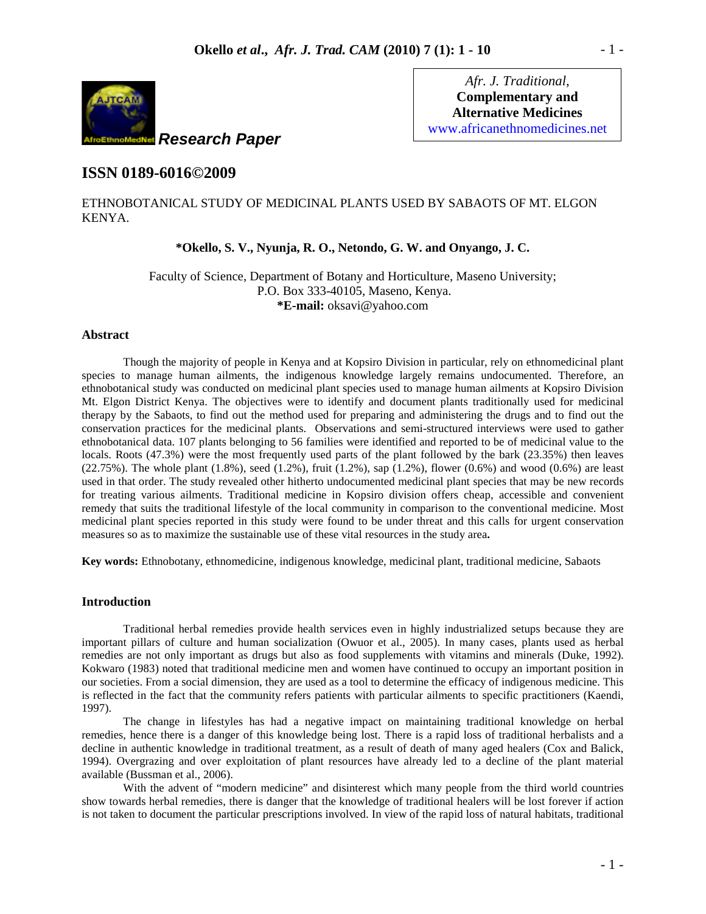

*Afr. J. Traditional*, **Complementary and Alternative Medicines** www.africanethnomedicines.net

# **ISSN 0189-6016©2009**

## ETHNOBOTANICAL STUDY OF MEDICINAL PLANTS USED BY SABAOTS OF MT. ELGON KENYA.

### **\*Okello, S. V., Nyunja, R. O., Netondo, G. W. and Onyango, J. C.**

Faculty of Science, Department of Botany and Horticulture, Maseno University; P.O. Box 333-40105, Maseno, Kenya. **\*E-mail:** oksavi@yahoo.com

#### **Abstract**

Though the majority of people in Kenya and at Kopsiro Division in particular, rely on ethnomedicinal plant species to manage human ailments, the indigenous knowledge largely remains undocumented. Therefore, an ethnobotanical study was conducted on medicinal plant species used to manage human ailments at Kopsiro Division Mt. Elgon District Kenya. The objectives were to identify and document plants traditionally used for medicinal therapy by the Sabaots, to find out the method used for preparing and administering the drugs and to find out the conservation practices for the medicinal plants. Observations and semi-structured interviews were used to gather ethnobotanical data. 107 plants belonging to 56 families were identified and reported to be of medicinal value to the locals. Roots (47.3%) were the most frequently used parts of the plant followed by the bark (23.35%) then leaves  $(22.75%)$ . The whole plant  $(1.8%)$ , seed  $(1.2%)$ , fruit  $(1.2%)$ , sap  $(1.2%)$ , flower  $(0.6%)$  and wood  $(0.6%)$  are least used in that order. The study revealed other hitherto undocumented medicinal plant species that may be new records for treating various ailments. Traditional medicine in Kopsiro division offers cheap, accessible and convenient remedy that suits the traditional lifestyle of the local community in comparison to the conventional medicine. Most medicinal plant species reported in this study were found to be under threat and this calls for urgent conservation measures so as to maximize the sustainable use of these vital resources in the study area**.**

**Key words:** Ethnobotany, ethnomedicine, indigenous knowledge, medicinal plant, traditional medicine, Sabaots

#### **Introduction**

Traditional herbal remedies provide health services even in highly industrialized setups because they are important pillars of culture and human socialization (Owuor et al., 2005). In many cases, plants used as herbal remedies are not only important as drugs but also as food supplements with vitamins and minerals (Duke, 1992). Kokwaro (1983) noted that traditional medicine men and women have continued to occupy an important position in our societies. From a social dimension, they are used as a tool to determine the efficacy of indigenous medicine. This is reflected in the fact that the community refers patients with particular ailments to specific practitioners (Kaendi, 1997).

The change in lifestyles has had a negative impact on maintaining traditional knowledge on herbal remedies, hence there is a danger of this knowledge being lost. There is a rapid loss of traditional herbalists and a decline in authentic knowledge in traditional treatment, as a result of death of many aged healers (Cox and Balick, 1994). Overgrazing and over exploitation of plant resources have already led to a decline of the plant material available (Bussman et al., 2006).

With the advent of "modern medicine" and disinterest which many people from the third world countries show towards herbal remedies, there is danger that the knowledge of traditional healers will be lost forever if action is not taken to document the particular prescriptions involved. In view of the rapid loss of natural habitats, traditional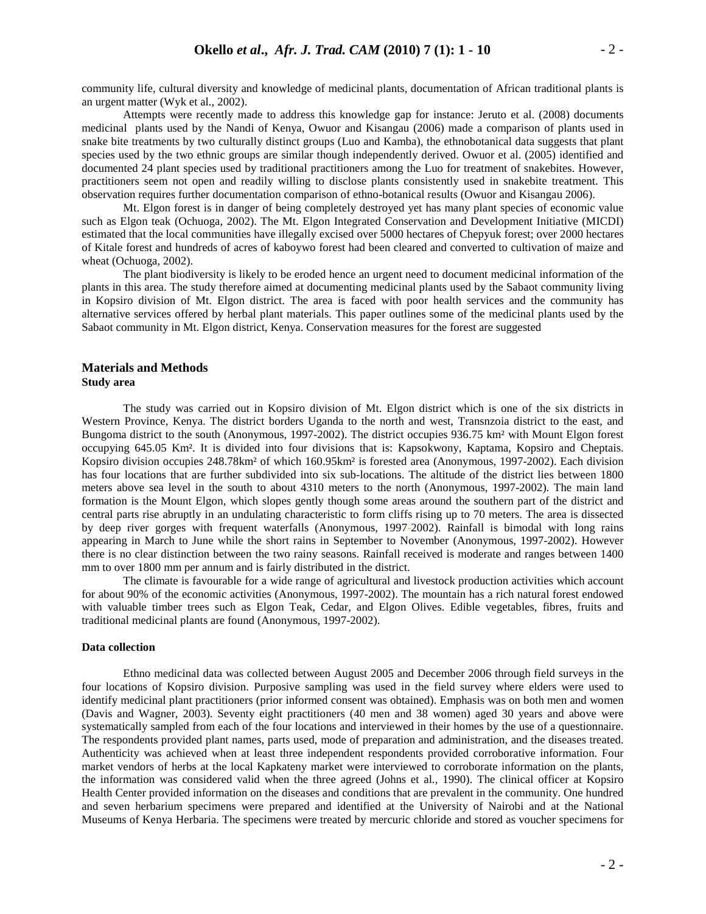community life, cultural diversity and knowledge of medicinal plants, documentation of African traditional plants is an urgent matter (Wyk et al., 2002).

Attempts were recently made to address this knowledge gap for instance: Jeruto et al. (2008) documents medicinal plants used by the Nandi of Kenya, Owuor and Kisangau (2006) made a comparison of plants used in snake bite treatments by two culturally distinct groups (Luo and Kamba), the ethnobotanical data suggests that plant species used by the two ethnic groups are similar though independently derived. Owuor et al. (2005) identified and documented 24 plant species used by traditional practitioners among the Luo for treatment of snakebites. However, practitioners seem not open and readily willing to disclose plants consistently used in snakebite treatment. This observation requires further documentation comparison of ethno-botanical results (Owuor and Kisangau 2006).

Mt. Elgon forest is in danger of being completely destroyed yet has many plant species of economic value such as Elgon teak (Ochuoga, 2002). The Mt. Elgon Integrated Conservation and Development Initiative (MICDI) estimated that the local communities have illegally excised over 5000 hectares of Chepyuk forest; over 2000 hectares of Kitale forest and hundreds of acres of kaboywo forest had been cleared and converted to cultivation of maize and wheat (Ochuoga, 2002).

The plant biodiversity is likely to be eroded hence an urgent need to document medicinal information of the plants in this area. The study therefore aimed at documenting medicinal plants used by the Sabaot community living in Kopsiro division of Mt. Elgon district. The area is faced with poor health services and the community has alternative services offered by herbal plant materials. This paper outlines some of the medicinal plants used by the Sabaot community in Mt. Elgon district, Kenya. Conservation measures for the forest are suggested

#### **Materials and Methods Study area**

The study was carried out in Kopsiro division of Mt. Elgon district which is one of the six districts in Western Province, Kenya. The district borders Uganda to the north and west, Transnzoia district to the east, and Bungoma district to the south (Anonymous, 1997-2002). The district occupies 936.75 km² with Mount Elgon forest occupying 645.05 Km². It is divided into four divisions that is: Kapsokwony, Kaptama, Kopsiro and Cheptais. Kopsiro division occupies 248.78km² of which 160.95km² is forested area (Anonymous, 1997-2002). Each division has four locations that are further subdivided into six sub-locations. The altitude of the district lies between 1800 meters above sea level in the south to about 4310 meters to the north (Anonymous, 1997-2002). The main land formation is the Mount Elgon, which slopes gently though some areas around the southern part of the district and central parts rise abruptly in an undulating characteristic to form cliffs rising up to 70 meters. The area is dissected by deep river gorges with frequent waterfalls (Anonymous, 1997-2002). Rainfall is bimodal with long rains appearing in March to June while the short rains in September to November (Anonymous, 1997-2002). However there is no clear distinction between the two rainy seasons. Rainfall received is moderate and ranges between 1400 mm to over 1800 mm per annum and is fairly distributed in the district.

The climate is favourable for a wide range of agricultural and livestock production activities which account for about 90% of the economic activities (Anonymous, 1997-2002). The mountain has a rich natural forest endowed with valuable timber trees such as Elgon Teak, Cedar, and Elgon Olives. Edible vegetables, fibres, fruits and traditional medicinal plants are found (Anonymous, 1997-2002).

#### **Data collection**

Ethno medicinal data was collected between August 2005 and December 2006 through field surveys in the four locations of Kopsiro division. Purposive sampling was used in the field survey where elders were used to identify medicinal plant practitioners (prior informed consent was obtained). Emphasis was on both men and women (Davis and Wagner, 2003). Seventy eight practitioners (40 men and 38 women) aged 30 years and above were systematically sampled from each of the four locations and interviewed in their homes by the use of a questionnaire. The respondents provided plant names, parts used, mode of preparation and administration, and the diseases treated. Authenticity was achieved when at least three independent respondents provided corroborative information. Four market vendors of herbs at the local Kapkateny market were interviewed to corroborate information on the plants, the information was considered valid when the three agreed (Johns et al., 1990). The clinical officer at Kopsiro Health Center provided information on the diseases and conditions that are prevalent in the community. One hundred and seven herbarium specimens were prepared and identified at the University of Nairobi and at the National Museums of Kenya Herbaria. The specimens were treated by mercuric chloride and stored as voucher specimens for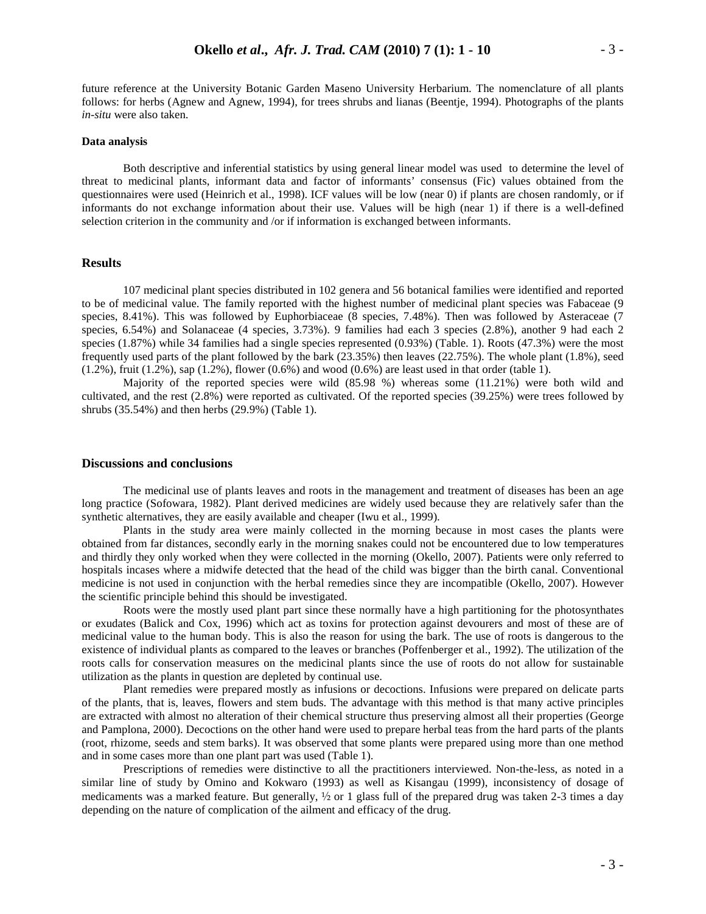future reference at the University Botanic Garden Maseno University Herbarium. The nomenclature of all plants follows: for herbs (Agnew and Agnew, 1994), for trees shrubs and lianas (Beentje, 1994). Photographs of the plants *in-situ* were also taken.

#### **Data analysis**

Both descriptive and inferential statistics by using general linear model was used to determine the level of threat to medicinal plants, informant data and factor of informants' consensus (Fic) values obtained from the questionnaires were used (Heinrich et al., 1998). ICF values will be low (near 0) if plants are chosen randomly, or if informants do not exchange information about their use. Values will be high (near 1) if there is a well-defined selection criterion in the community and /or if information is exchanged between informants.

### **Results**

107 medicinal plant species distributed in 102 genera and 56 botanical families were identified and reported to be of medicinal value. The family reported with the highest number of medicinal plant species was Fabaceae (9 species, 8.41%). This was followed by Euphorbiaceae (8 species, 7.48%). Then was followed by Asteraceae (7 species, 6.54%) and Solanaceae (4 species, 3.73%). 9 families had each 3 species (2.8%), another 9 had each 2 species (1.87%) while 34 families had a single species represented (0.93%) (Table. 1). Roots (47.3%) were the most frequently used parts of the plant followed by the bark (23.35%) then leaves (22.75%). The whole plant (1.8%), seed  $(1.2\%)$ , fruit  $(1.2\%)$ , sap  $(1.2\%)$ , flower  $(0.6\%)$  and wood  $(0.6\%)$  are least used in that order (table 1).

Majority of the reported species were wild (85.98 %) whereas some (11.21%) were both wild and cultivated, and the rest (2.8%) were reported as cultivated. Of the reported species (39.25%) were trees followed by shrubs (35.54%) and then herbs (29.9%) (Table 1).

#### **Discussions and conclusions**

The medicinal use of plants leaves and roots in the management and treatment of diseases has been an age long practice (Sofowara, 1982). Plant derived medicines are widely used because they are relatively safer than the synthetic alternatives, they are easily available and cheaper (Iwu et al., 1999).

Plants in the study area were mainly collected in the morning because in most cases the plants were obtained from far distances, secondly early in the morning snakes could not be encountered due to low temperatures and thirdly they only worked when they were collected in the morning (Okello, 2007). Patients were only referred to hospitals incases where a midwife detected that the head of the child was bigger than the birth canal. Conventional medicine is not used in conjunction with the herbal remedies since they are incompatible (Okello, 2007). However the scientific principle behind this should be investigated.

Roots were the mostly used plant part since these normally have a high partitioning for the photosynthates or exudates (Balick and Cox, 1996) which act as toxins for protection against devourers and most of these are of medicinal value to the human body. This is also the reason for using the bark. The use of roots is dangerous to the existence of individual plants as compared to the leaves or branches (Poffenberger et al., 1992). The utilization of the roots calls for conservation measures on the medicinal plants since the use of roots do not allow for sustainable utilization as the plants in question are depleted by continual use.

Plant remedies were prepared mostly as infusions or decoctions. Infusions were prepared on delicate parts of the plants, that is, leaves, flowers and stem buds. The advantage with this method is that many active principles are extracted with almost no alteration of their chemical structure thus preserving almost all their properties (George and Pamplona, 2000). Decoctions on the other hand were used to prepare herbal teas from the hard parts of the plants (root, rhizome, seeds and stem barks). It was observed that some plants were prepared using more than one method and in some cases more than one plant part was used (Table 1).

Prescriptions of remedies were distinctive to all the practitioners interviewed. Non-the-less, as noted in a similar line of study by Omino and Kokwaro (1993) as well as Kisangau (1999), inconsistency of dosage of medicaments was a marked feature. But generally,  $\frac{1}{2}$  or 1 glass full of the prepared drug was taken 2-3 times a day depending on the nature of complication of the ailment and efficacy of the drug.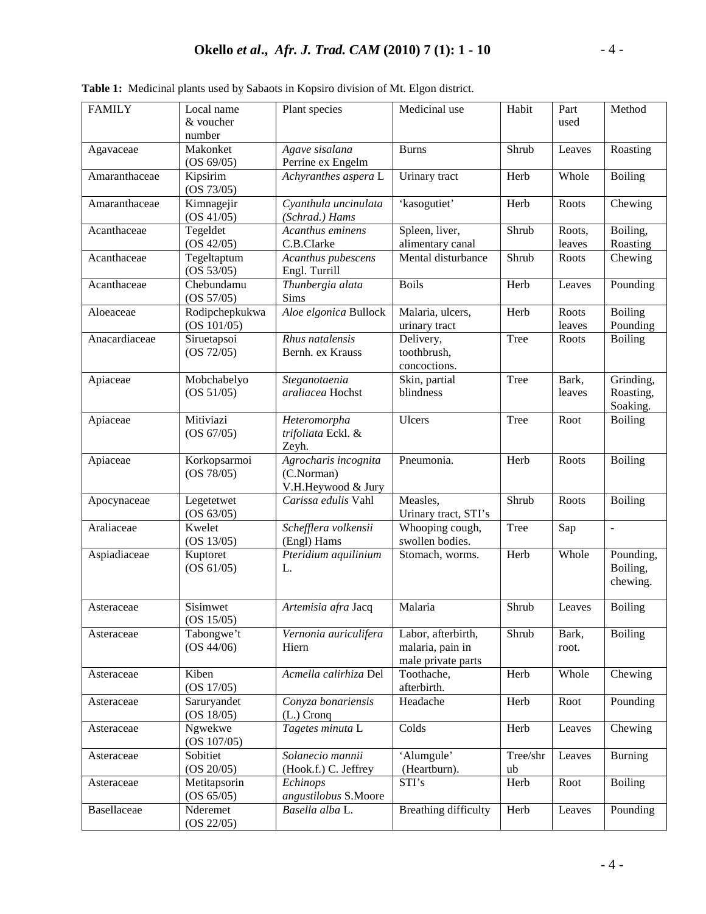| <b>FAMILY</b> | Local name                | Plant species                       | Medicinal use               | Habit    | Part   | Method                   |
|---------------|---------------------------|-------------------------------------|-----------------------------|----------|--------|--------------------------|
|               | & voucher                 |                                     |                             |          | used   |                          |
|               | number                    |                                     |                             |          |        |                          |
| Agavaceae     | Makonket                  | Agave sisalana                      | <b>Burns</b>                | Shrub    | Leaves | Roasting                 |
|               | (OS 69/05)                | Perrine ex Engelm                   |                             |          |        |                          |
| Amaranthaceae | Kipsirim                  | Achyranthes aspera L                | Urinary tract               | Herb     | Whole  | <b>Boiling</b>           |
|               | (OS 73/05)                |                                     |                             |          |        |                          |
| Amaranthaceae | Kimnagejir                | Cyanthula uncinulata                | 'kasogutiet'                | Herb     | Roots  | Chewing                  |
|               | (OS 41/05)                | (Schrad.) Hams                      |                             |          |        |                          |
| Acanthaceae   | Tegeldet                  | Acanthus eminens                    | Spleen, liver,              | Shrub    | Roots, | Boiling,                 |
|               | (OS 42/05)                | C.B.CIarke                          | alimentary canal            |          | leaves | Roasting                 |
| Acanthaceae   | Tegeltaptum<br>(OS 53/05) | Acanthus pubescens<br>Engl. Turrill | Mental disturbance          | Shrub    | Roots  | Chewing                  |
| Acanthaceae   | Chebundamu<br>(OS 57/05)  | Thunbergia alata<br>Sims            | <b>Boils</b>                | Herb     | Leaves | Pounding                 |
| Aloeaceae     | Rodipchepkukwa            | Aloe elgonica Bullock               | Malaria, ulcers,            | Herb     | Roots  | <b>Boiling</b>           |
|               | (OS 101/05)               |                                     | urinary tract               |          | leaves | Pounding                 |
| Anacardiaceae | Siruetapsoi               | Rhus natalensis                     | Delivery,                   | Tree     | Roots  | <b>Boiling</b>           |
|               | (OS 72/05)                | Bernh. ex Krauss                    | toothbrush,                 |          |        |                          |
|               |                           |                                     | concoctions.                |          |        |                          |
| Apiaceae      | Mobchabelyo               | Steganotaenia                       | Skin, partial               | Tree     | Bark,  | Grinding,                |
|               | (OS 51/05)                | araliacea Hochst                    | blindness                   |          | leaves | Roasting,                |
|               |                           |                                     |                             |          |        | Soaking.                 |
| Apiaceae      | Mitiviazi                 | Heteromorpha                        | Ulcers                      | Tree     | Root   | <b>Boiling</b>           |
|               | (OS 67/05)                | trifoliata Eckl. &                  |                             |          |        |                          |
|               |                           | Zeyh.                               |                             |          |        |                          |
| Apiaceae      | Korkopsarmoi              | Agrocharis incognita                | Pneumonia.                  | Herb     | Roots  | <b>Boiling</b>           |
|               | (OS 78/05)                | (C.Norman)                          |                             |          |        |                          |
|               |                           | V.H.Heywood & Jury                  |                             |          |        |                          |
| Apocynaceae   | Legetetwet                | Carissa edulis Vahl                 | Measles,                    | Shrub    | Roots  | <b>Boiling</b>           |
|               | (OS 63/05)                |                                     | Urinary tract, STI's        |          |        |                          |
| Araliaceae    | Kwelet                    | Schefflera volkensii                | Whooping cough,             | Tree     | Sap    | $\overline{\phantom{a}}$ |
|               | (OS 13/05)                | (Engl) Hams                         | swollen bodies.             |          |        |                          |
| Aspiadiaceae  | Kuptoret                  | Pteridium aquilinium                | Stomach, worms.             | Herb     | Whole  | Pounding,                |
|               | (OS 61/05)                | L.                                  |                             |          |        | Boiling,                 |
|               |                           |                                     |                             |          |        | chewing.                 |
| Asteraceae    | Sisimwet                  | Artemisia afra Jacq                 | Malaria                     | Shrub    | Leaves | <b>Boiling</b>           |
|               | (OS 15/05)                |                                     |                             |          |        |                          |
| Asteraceae    | Tabongwe't                | Vernonia auriculifera               | Labor, afterbirth,          | Shrub    | Bark,  | <b>Boiling</b>           |
|               | (OS 44/06)                | Hiern                               | malaria, pain in            |          | root.  |                          |
|               |                           |                                     | male private parts          |          |        |                          |
| Asteraceae    | Kiben                     | Acmella calirhiza Del               | Toothache,                  | Herb     | Whole  | Chewing                  |
|               | (OS 17/05)                |                                     | afterbirth.                 |          |        |                          |
| Asteraceae    | Saruryandet               | Conyza bonariensis                  | Headache                    | Herb     | Root   | Pounding                 |
|               | (OS 18/05)                | $(L.)$ Cronq                        |                             |          |        |                          |
| Asteraceae    | Ngwekwe                   | Tagetes minuta L                    | Colds                       | Herb     | Leaves | Chewing                  |
|               | (OS 107/05)               |                                     |                             |          |        |                          |
| Asteraceae    | Sobitiet                  | Solanecio mannii                    | 'Alumgule'                  | Tree/shr | Leaves | <b>Burning</b>           |
|               | (OS 20/05)                | (Hook.f.) C. Jeffrey                | (Heartburn).                | ub       |        |                          |
| Asteraceae    | Metitapsorin              | Echinops                            | STI's                       | Herb     | Root   | <b>Boiling</b>           |
|               | (OS 65/05)                | angustilobus S.Moore                |                             |          |        |                          |
| Basellaceae   | Nderemet                  | Basella alba L.                     | <b>Breathing difficulty</b> | Herb     | Leaves | Pounding                 |
|               | (OS 22/05)                |                                     |                             |          |        |                          |

**Table 1:** Medicinal plants used by Sabaots in Kopsiro division of Mt. Elgon district.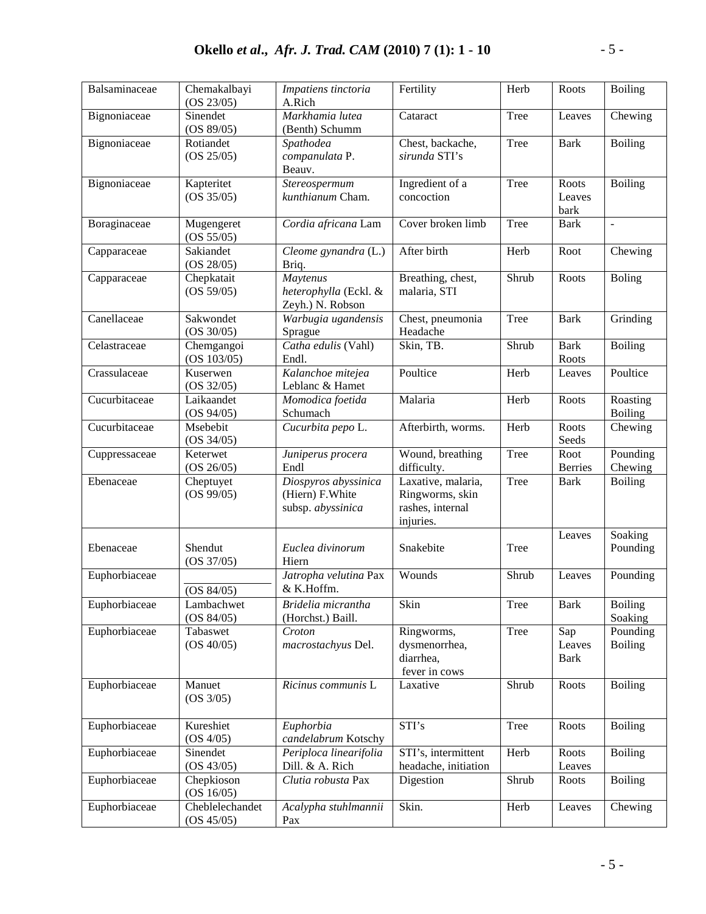| Balsaminaceae | Chemakalbayi<br>(OS 23/05)    | Impatiens tinctoria<br>A.Rich                                 | Fertility                                                              | Herb  | Roots                   | <b>Boiling</b>             |
|---------------|-------------------------------|---------------------------------------------------------------|------------------------------------------------------------------------|-------|-------------------------|----------------------------|
| Bignoniaceae  | Sinendet<br>(OS 89/05)        | Markhamia lutea<br>(Benth) Schumm                             | Cataract                                                               | Tree  | Leaves                  | Chewing                    |
| Bignoniaceae  | Rotiandet<br>(OS 25/05)       | Spathodea<br>companulata P.<br>Beauv.                         | Chest, backache,<br>sirunda STI's                                      | Tree  | <b>Bark</b>             | <b>Boiling</b>             |
| Bignoniaceae  | Kapteritet<br>(OS 35/05)      | Stereospermum<br>kunthianum Cham.                             | Ingredient of a<br>concoction                                          | Tree  | Roots<br>Leaves<br>bark | <b>Boiling</b>             |
| Boraginaceae  | Mugengeret<br>(OS 55/05)      | Cordia africana Lam                                           | Cover broken limb                                                      | Tree  | <b>Bark</b>             | ÷,                         |
| Capparaceae   | Sakiandet<br>(OS 28/05)       | Cleome gynandra (L.)<br>Briq.                                 | After birth                                                            | Herb  | Root                    | Chewing                    |
| Capparaceae   | Chepkatait<br>(OS 59/05)      | Maytenus<br>heterophylla (Eckl. &<br>Zeyh.) N. Robson         | Breathing, chest,<br>malaria, STI                                      | Shrub | Roots                   | <b>Boling</b>              |
| Canellaceae   | Sakwondet<br>(OS 30/05)       | Warbugia ugandensis<br>Sprague                                | Chest, pneumonia<br>Headache                                           | Tree  | <b>Bark</b>             | Grinding                   |
| Celastraceae  | Chemgangoi<br>(OS 103/05)     | Catha edulis (Vahl)<br>Endl.                                  | Skin, TB.                                                              | Shrub | <b>Bark</b><br>Roots    | <b>Boiling</b>             |
| Crassulaceae  | Kuserwen<br>(OS 32/05)        | Kalanchoe mitejea<br>Leblanc & Hamet                          | Poultice                                                               | Herb  | Leaves                  | Poultice                   |
| Cucurbitaceae | Laikaandet<br>(OS 94/05)      | $\overline{M}$ omodica foetida<br>Schumach                    | Malaria                                                                | Herb  | Roots                   | Roasting<br><b>Boiling</b> |
| Cucurbitaceae | Msebebit<br>(OS 34/05)        | Cucurbita pepo L.                                             | Afterbirth, worms.                                                     | Herb  | Roots<br>Seeds          | Chewing                    |
| Cuppressaceae | Keterwet<br>(OS 26/05)        | Juniperus procera<br>Endl                                     | Wound, breathing<br>difficulty.                                        | Tree  | Root<br><b>Berries</b>  | Pounding<br>Chewing        |
| Ebenaceae     | Cheptuyet<br>(OS 99/05)       | Diospyros abyssinica<br>(Hiern) F. White<br>subsp. abyssinica | Laxative, malaria,<br>Ringworms, skin<br>rashes, internal<br>injuries. | Tree  | <b>Bark</b>             | <b>Boiling</b>             |
| Ebenaceae     | Shendut<br>(OS 37/05)         | Euclea divinorum<br>Hiern                                     | Snakebite                                                              | Tree  | Leaves                  | Soaking<br>Pounding        |
| Euphorbiaceae | (OS 84/05)                    | Jatropha velutina Pax<br>& K.Hoffm.                           | Wounds                                                                 | Shrub | Leaves                  | Pounding                   |
| Euphorbiaceae | Lambachwet<br>(OS 84/05)      | Bridelia micrantha<br>(Horchst.) Baill.                       | Skin                                                                   | Tree  | <b>Bark</b>             | <b>Boiling</b><br>Soaking  |
| Euphorbiaceae | Tabaswet<br>(OS 40/05)        | Croton<br>macrostachyus Del.                                  | Ringworms,<br>dysmenorrhea,<br>diarrhea,<br>fever in cows              | Tree  | Sap<br>Leaves<br>Bark   | Pounding<br><b>Boiling</b> |
| Euphorbiaceae | Manuet<br>(OS 3/05)           | Ricinus communis L                                            | Laxative                                                               | Shrub | Roots                   | <b>Boiling</b>             |
| Euphorbiaceae | Kureshiet<br>(OS 4/05)        | Euphorbia<br>candelabrum Kotschy                              | STI's                                                                  | Tree  | Roots                   | <b>Boiling</b>             |
| Euphorbiaceae | Sinendet<br>(OS 43/05)        | Periploca linearifolia<br>Dill. & A. Rich                     | STI's, intermittent<br>headache, initiation                            | Herb  | Roots<br>Leaves         | <b>Boiling</b>             |
| Euphorbiaceae | Chepkioson<br>(OS 16/05)      | Clutia robusta Pax                                            | Digestion                                                              | Shrub | Roots                   | <b>Boiling</b>             |
| Euphorbiaceae | Cheblelechandet<br>(OS 45/05) | Acalypha stuhlmannii<br>Pax                                   | Skin.                                                                  | Herb  | Leaves                  | Chewing                    |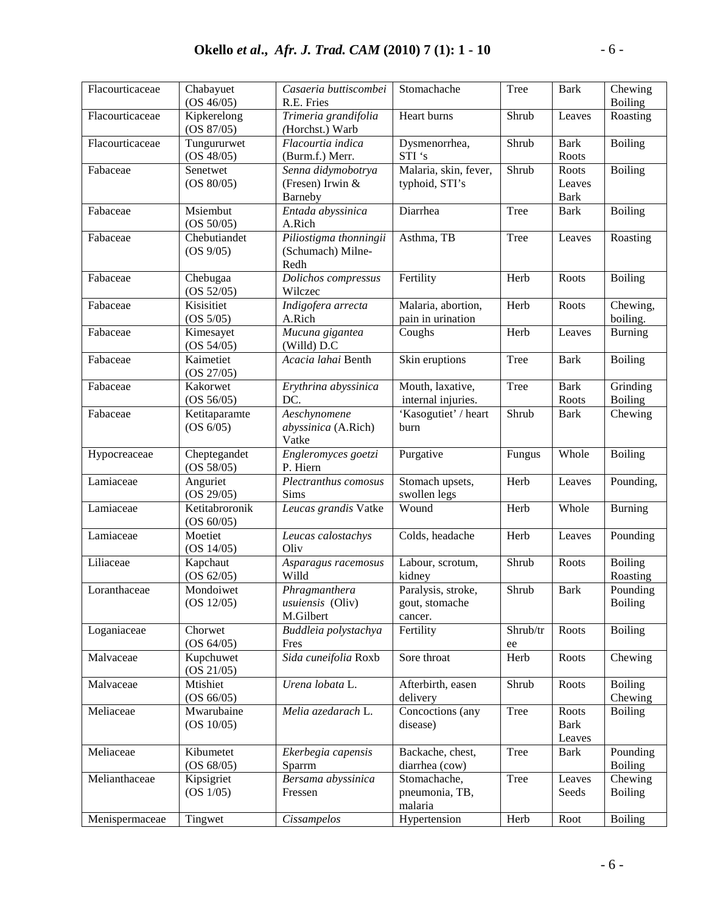| Flacourticaceae | Chabayuet<br>(OS 46/05)      | Casaeria buttiscombei<br>R.E. Fries                   | Stomachache                                     | Tree           | <b>Bark</b>                    | Chewing<br><b>Boiling</b>  |
|-----------------|------------------------------|-------------------------------------------------------|-------------------------------------------------|----------------|--------------------------------|----------------------------|
| Flacourticaceae | Kipkerelong<br>(OS 87/05)    | Trimeria grandifolia<br>(Horchst.) Warb               | Heart burns                                     | Shrub          | Leaves                         | Roasting                   |
| Flacourticaceae | Tungururwet<br>(OS 48/05)    | Flacourtia indica<br>(Burm.f.) Merr.                  | Dysmenorrhea,<br>STI's                          | Shrub          | <b>Bark</b><br>Roots           | <b>Boiling</b>             |
| Fabaceae        | Senetwet<br>(OS 80/05)       | Senna didymobotrya<br>(Fresen) Irwin &<br>Barneby     | Malaria, skin, fever,<br>typhoid, STI's         | Shrub          | Roots<br>Leaves<br><b>Bark</b> | <b>Boiling</b>             |
| Fabaceae        | Msiembut<br>(OS 50/05)       | Entada abyssinica<br>A.Rich                           | Diarrhea                                        | Tree           | <b>Bark</b>                    | <b>Boiling</b>             |
| Fabaceae        | Chebutiandet<br>(OS 9/05)    | Piliostigma thonningii<br>(Schumach) Milne-<br>Redh   | Asthma, TB                                      | Tree           | Leaves                         | Roasting                   |
| Fabaceae        | Chebugaa<br>(OS 52/05)       | Dolichos compressus<br>Wilczec                        | Fertility                                       | Herb           | Roots                          | <b>Boiling</b>             |
| Fabaceae        | Kisisitiet<br>(OS 5/05)      | Indigofera arrecta<br>A.Rich                          | Malaria, abortion,<br>pain in urination         | Herb           | Roots                          | Chewing,<br>boiling.       |
| Fabaceae        | Kimesayet<br>(OS 54/05)      | Mucuna gigantea<br>(Willd) D.C                        | Coughs                                          | Herb           | Leaves                         | <b>Burning</b>             |
| Fabaceae        | Kaimetiet<br>(OS 27/05)      | Acacia lahai Benth                                    | Skin eruptions                                  | Tree           | <b>Bark</b>                    | <b>Boiling</b>             |
| Fabaceae        | Kakorwet<br>(OS 56/05)       | Erythrina abyssinica<br>DC.                           | Mouth, laxative,<br>internal injuries.          | Tree           | <b>Bark</b><br>Roots           | Grinding<br><b>Boiling</b> |
| Fabaceae        | Ketitaparamte<br>(OS 6/05)   | Aeschynomene<br>abyssinica (A.Rich)<br>Vatke          | 'Kasogutiet' / heart<br>burn                    | Shrub          | <b>Bark</b>                    | Chewing                    |
| Hypocreaceae    | Cheptegandet<br>(OS 58/05)   | Engleromyces goetzi<br>P. Hiern                       | Purgative                                       | Fungus         | Whole                          | <b>Boiling</b>             |
| Lamiaceae       | Anguriet<br>(OS 29/05)       | Plectranthus comosus<br>Sims                          | Stomach upsets,<br>swollen legs                 | Herb           | Leaves                         | Pounding,                  |
| Lamiaceae       | Ketitabroronik<br>(OS 60/05) | Leucas grandis Vatke                                  | Wound                                           | Herb           | Whole                          | <b>Burning</b>             |
| Lamiaceae       | Moetiet<br>(OS 14/05)        | Leucas calostachys<br>Oliv                            | Colds, headache                                 | Herb           | Leaves                         | Pounding                   |
| Liliaceae       | Kapchaut<br>(OS 62/05)       | Asparagus racemosus<br>Willd                          | Labour, scrotum,<br>kidney                      | Shrub          | Roots                          | <b>Boiling</b><br>Roasting |
| Loranthaceae    | Mondoiwet<br>(OS 12/05)      | Phragmanthera<br><i>usuiensis</i> (Oliv)<br>M.Gilbert | Paralysis, stroke,<br>gout, stomache<br>cancer. | Shrub          | <b>Bark</b>                    | Pounding<br><b>Boiling</b> |
| Loganiaceae     | Chorwet<br>(OS 64/05)        | Buddleia polystachya<br>Fres                          | Fertility                                       | Shrub/tr<br>ee | Roots                          | <b>Boiling</b>             |
| Malvaceae       | Kupchuwet<br>(OS 21/05)      | Sida cuneifolia Roxb                                  | Sore throat                                     | Herb           | Roots                          | Chewing                    |
| Malvaceae       | Mtishiet<br>(OS 66/05)       | Urena lobata L.                                       | Afterbirth, easen<br>delivery                   | Shrub          | Roots                          | <b>Boiling</b><br>Chewing  |
| Meliaceae       | Mwarubaine<br>(OS 10/05)     | Melia azedarach L.                                    | Concoctions (any<br>disease)                    | Tree           | Roots<br><b>Bark</b><br>Leaves | <b>Boiling</b>             |
| Meliaceae       | Kibumetet<br>(OS 68/05)      | Ekerbegia capensis<br>Sparrm                          | Backache, chest,<br>diarrhea (cow)              | Tree           | Bark                           | Pounding<br><b>Boiling</b> |
| Melianthaceae   | Kipsigriet<br>(OS 1/05)      | Bersama abyssinica<br>Fressen                         | Stomachache,<br>pneumonia, TB,<br>malaria       | Tree           | Leaves<br>Seeds                | Chewing<br><b>Boiling</b>  |
| Menispermaceae  | Tingwet                      | Cissampelos                                           | Hypertension                                    | Herb           | Root                           | <b>Boiling</b>             |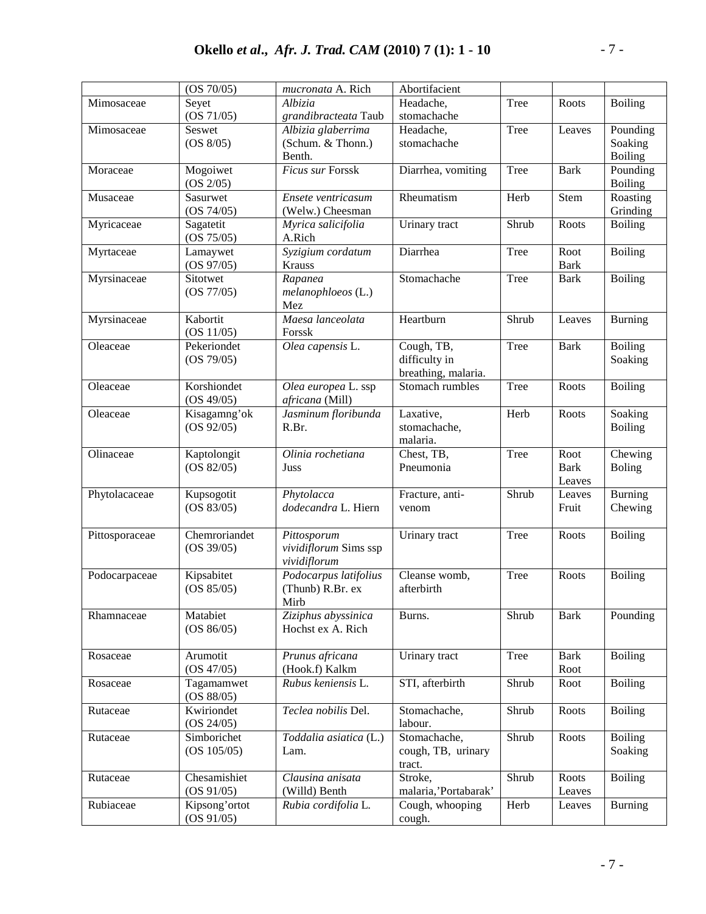|                | (OS 70/05)    | mucronata A. Rich                        | Abortifacient        |                            |                           |                |
|----------------|---------------|------------------------------------------|----------------------|----------------------------|---------------------------|----------------|
| Mimosaceae     | Seyet         | Albizia                                  | Headache,            | Tree                       | Roots                     | <b>Boiling</b> |
|                | (OS 71/05)    | grandibracteata Taub                     | stomachache          |                            |                           |                |
| Mimosaceae     | Seswet        | Albizia glaberrima                       | Headache,            | Tree                       | Leaves                    | Pounding       |
|                | (OS 8/05)     | (Schum. & Thonn.)                        | stomachache          |                            |                           | Soaking        |
|                |               | Benth.                                   |                      |                            |                           | <b>Boiling</b> |
| Moraceae       | Mogoiwet      | Ficus sur Forssk                         | Diarrhea, vomiting   | Tree                       | <b>Bark</b>               | Pounding       |
|                | (OS 2/05)     |                                          |                      |                            |                           | <b>Boiling</b> |
| Musaceae       | Sasurwet      | Ensete ventricasum                       | Rheumatism           | Herb                       | $\overline{\text{S}}$ tem | Roasting       |
|                | (OS 74/05)    | (Welw.) Cheesman                         |                      |                            |                           | Grinding       |
| Myricaceae     | Sagatetit     | Myrica salicifolia                       | Urinary tract        | Shrub                      | Roots                     | <b>Boiling</b> |
|                | (OS 75/05)    | A.Rich                                   |                      |                            |                           |                |
| Myrtaceae      | Lamaywet      | Syzigium cordatum                        | Diarrhea             | Tree                       | Root                      | <b>Boiling</b> |
|                | (OS 97/05)    | Krauss                                   |                      |                            | <b>Bark</b>               |                |
| Myrsinaceae    | Sitotwet      | Rapanea                                  | Stomachache          | Tree                       | <b>Bark</b>               | <b>Boiling</b> |
|                | (OS 77/05)    | melanophloeos (L.)                       |                      |                            |                           |                |
|                |               | Mez                                      |                      |                            |                           |                |
| Myrsinaceae    | Kabortit      | Maesa lanceolata                         | Heartburn            | Shrub                      | Leaves                    | <b>Burning</b> |
|                | (OS 11/05)    | Forssk                                   |                      |                            |                           |                |
| Oleaceae       | Pekeriondet   | Olea capensis L.                         | Cough, TB,           | Tree                       | <b>Bark</b>               | <b>Boiling</b> |
|                | (OS 79/05)    |                                          | difficulty in        |                            |                           | Soaking        |
|                |               |                                          | breathing, malaria.  |                            |                           |                |
| Oleaceae       | Korshiondet   | Olea europea L. ssp                      | Stomach rumbles      | Tree                       | Roots                     | <b>Boiling</b> |
|                | (OS 49/05)    | africana (Mill)                          |                      |                            |                           |                |
| Oleaceae       | Kisagamng'ok  | Jasminum floribunda                      | Laxative,            | Herb                       | Roots                     | Soaking        |
|                | (OS 92/05)    | R.Br.                                    | stomachache,         |                            |                           | <b>Boiling</b> |
|                |               |                                          | malaria.             |                            |                           |                |
| Olinaceae      | Kaptolongit   | Olinia rochetiana                        | Chest, TB,           | Tree                       | Root                      | Chewing        |
|                | (OS 82/05)    | Juss                                     | Pneumonia            |                            | <b>Bark</b>               | <b>Boling</b>  |
|                |               |                                          |                      |                            | Leaves                    |                |
| Phytolacaceae  | Kupsogotit    | Phytolacca                               | Fracture, anti-      | Shrub                      | Leaves                    | Burning        |
|                | (OS 83/05)    | dodecandra L. Hiern                      | venom                |                            | Fruit                     | Chewing        |
|                |               |                                          |                      |                            |                           |                |
| Pittosporaceae | Chemroriandet | Pittosporum                              | Urinary tract        | Tree                       | Roots                     | <b>Boiling</b> |
|                | (OS 39/05)    | vividiflorum Sims ssp                    |                      |                            |                           |                |
|                |               | vividiflorum                             |                      |                            |                           |                |
| Podocarpaceae  | Kipsabitet    | Podocarpus latifolius                    | Cleanse womb,        | Tree                       | Roots                     | <b>Boiling</b> |
|                | (OS 85/05)    | (Thunb) R.Br. ex                         | afterbirth           |                            |                           |                |
|                | Matabiet      | Mirb                                     |                      | Shrub                      |                           |                |
| Rhamnaceae     | (OS 86/05)    | Ziziphus abyssinica<br>Hochst ex A. Rich | Burns.               |                            | <b>Bark</b>               | Pounding       |
|                |               |                                          |                      |                            |                           |                |
| Rosaceae       | Arumotit      | Prunus africana                          | Urinary tract        | Tree                       | <b>Bark</b>               | <b>Boiling</b> |
|                | (OS 47/05)    | (Hook.f) Kalkm                           |                      |                            | Root                      |                |
| Rosaceae       | Tagamamwet    | Rubus keniensis L.                       | STI, afterbirth      | Shrub                      | Root                      | <b>Boiling</b> |
|                | (OS 88/05)    |                                          |                      |                            |                           |                |
| Rutaceae       | Kwiriondet    | Teclea nobilis Del.                      | Stomachache,         | Shrub                      | Roots                     | <b>Boiling</b> |
|                | (OS 24/05)    |                                          | labour.              |                            |                           |                |
| Rutaceae       | Simborichet   | Toddalia asiatica (L.)                   | Stomachache,         | $\overline{\text{Sh}}$ rub | Roots                     | <b>Boiling</b> |
|                | (OS 105/05)   | Lam.                                     | cough, TB, urinary   |                            |                           | Soaking        |
|                |               |                                          | tract.               |                            |                           |                |
| Rutaceae       | Chesamishiet  | Clausina anisata                         | Stroke,              | Shrub                      | Roots                     | <b>Boiling</b> |
|                | (OS 91/05)    | (Willd) Benth                            | malaria,'Portabarak' |                            | Leaves                    |                |
| Rubiaceae      | Kipsong'ortot | Rubia cordifolia L.                      | Cough, whooping      | Herb                       | Leaves                    | <b>Burning</b> |
|                | (OS 91/05)    |                                          | cough.               |                            |                           |                |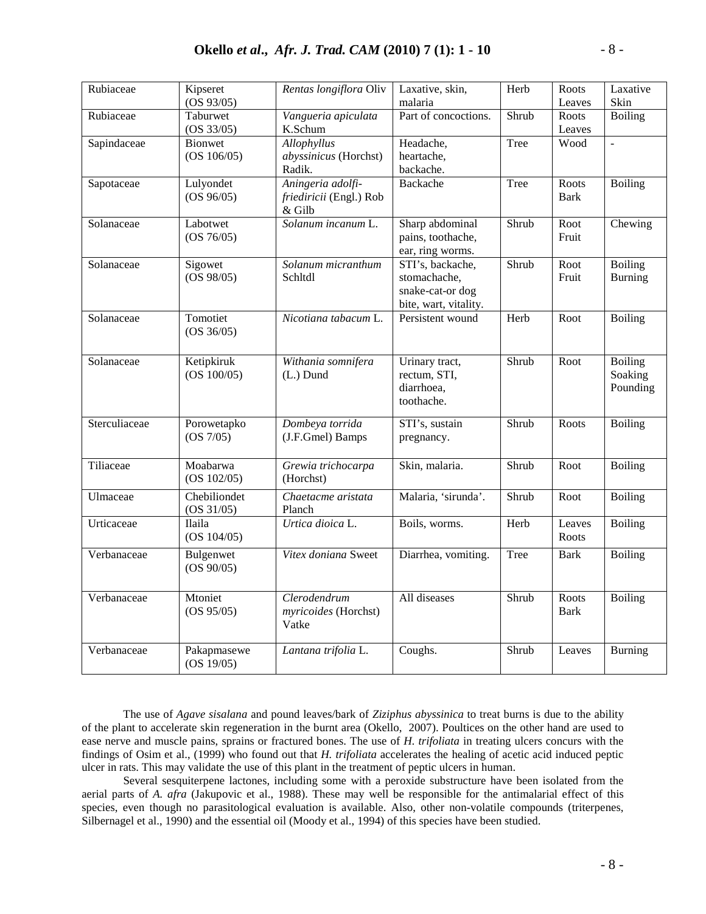| Rubiaceae     | Kipseret<br>(OS 93/05)        | Rentas longiflora Oliv                                 | Laxative, skin,<br>malaria                                                    | Herb  | Roots<br>Leaves      | Laxative<br>Skin                      |
|---------------|-------------------------------|--------------------------------------------------------|-------------------------------------------------------------------------------|-------|----------------------|---------------------------------------|
| Rubiaceae     | Taburwet<br>(OS 33/05)        | Vangueria apiculata<br>K.Schum                         | Part of concoctions.                                                          | Shrub | Roots<br>Leaves      | <b>Boiling</b>                        |
| Sapindaceae   | <b>Bionwet</b><br>(OS 106/05) | Allophyllus<br>abyssinicus (Horchst)<br>Radik.         | Headache,<br>heartache,<br>backache.                                          | Tree  | Wood                 | $\bar{\mathcal{L}}$                   |
| Sapotaceae    | Lulyondet<br>(OS 96/05)       | Aningeria adolfi-<br>friediricii (Engl.) Rob<br>& Gilb | <b>Backache</b>                                                               | Tree  | Roots<br><b>Bark</b> | <b>Boiling</b>                        |
| Solanaceae    | Labotwet<br>(OS 76/05)        | Solanum incanum L.                                     | Sharp abdominal<br>pains, toothache,<br>ear, ring worms.                      | Shrub | Root<br>Fruit        | Chewing                               |
| Solanaceae    | Sigowet<br>(OS 98/05)         | Solanum micranthum<br>Schltdl                          | STI's, backache,<br>stomachache,<br>snake-cat-or dog<br>bite, wart, vitality. | Shrub | Root<br>Fruit        | <b>Boiling</b><br><b>Burning</b>      |
| Solanaceae    | Tomotiet<br>(OS 36/05)        | Nicotiana tabacum L.                                   | Persistent wound                                                              | Herb  | Root                 | <b>Boiling</b>                        |
| Solanaceae    | Ketipkiruk<br>(OS 100/05)     | Withania somnifera<br>(L.) Dund                        | Urinary tract,<br>rectum, STI,<br>diarrhoea,<br>toothache.                    | Shrub | Root                 | <b>Boiling</b><br>Soaking<br>Pounding |
| Sterculiaceae | Porowetapko<br>(OS 7/05)      | Dombeya torrida<br>(J.F.Gmel) Bamps                    | STI's, sustain<br>pregnancy.                                                  | Shrub | Roots                | <b>Boiling</b>                        |
| Tiliaceae     | Moabarwa<br>(OS 102/05)       | Grewia trichocarpa<br>(Horchst)                        | Skin, malaria.                                                                | Shrub | Root                 | <b>Boiling</b>                        |
| Ulmaceae      | Chebiliondet<br>(OS 31/05)    | Chaetacme aristata<br>Planch                           | Malaria, 'sirunda'.                                                           | Shrub | Root                 | <b>Boiling</b>                        |
| Urticaceae    | Ilaila<br>(OS 104/05)         | Urtica dioica L.                                       | Boils, worms.                                                                 | Herb  | Leaves<br>Roots      | <b>Boiling</b>                        |
| Verbanaceae   | Bulgenwet<br>(OS 90/05)       | Vitex doniana Sweet                                    | Diarrhea, vomiting.                                                           | Tree  | <b>Bark</b>          | <b>Boiling</b>                        |
| Verbanaceae   | Mtoniet<br>(OS 95/05)         | Clerodendrum<br>myricoides (Horchst)<br>Vatke          | All diseases                                                                  | Shrub | Roots<br><b>Bark</b> | <b>Boiling</b>                        |
| Verbanaceae   | Pakapmasewe<br>(OS 19/05)     | Lantana trifolia L.                                    | Coughs.                                                                       | Shrub | Leaves               | <b>Burning</b>                        |

The use of *Agave sisalana* and pound leaves/bark of *Ziziphus abyssinica* to treat burns is due to the ability of the plant to accelerate skin regeneration in the burnt area (Okello, 2007). Poultices on the other hand are used to ease nerve and muscle pains, sprains or fractured bones. The use of *H. trifoliata* in treating ulcers concurs with the findings of Osim et al., (1999) who found out that *H. trifoliata* accelerates the healing of acetic acid induced peptic ulcer in rats. This may validate the use of this plant in the treatment of peptic ulcers in human.

Several sesquiterpene lactones, including some with a peroxide substructure have been isolated from the aerial parts of *A. afra* (Jakupovic et al., 1988). These may well be responsible for the antimalarial effect of this species, even though no parasitological evaluation is available. Also, other non-volatile compounds (triterpenes, Silbernagel et al., 1990) and the essential oil (Moody et al., 1994) of this species have been studied.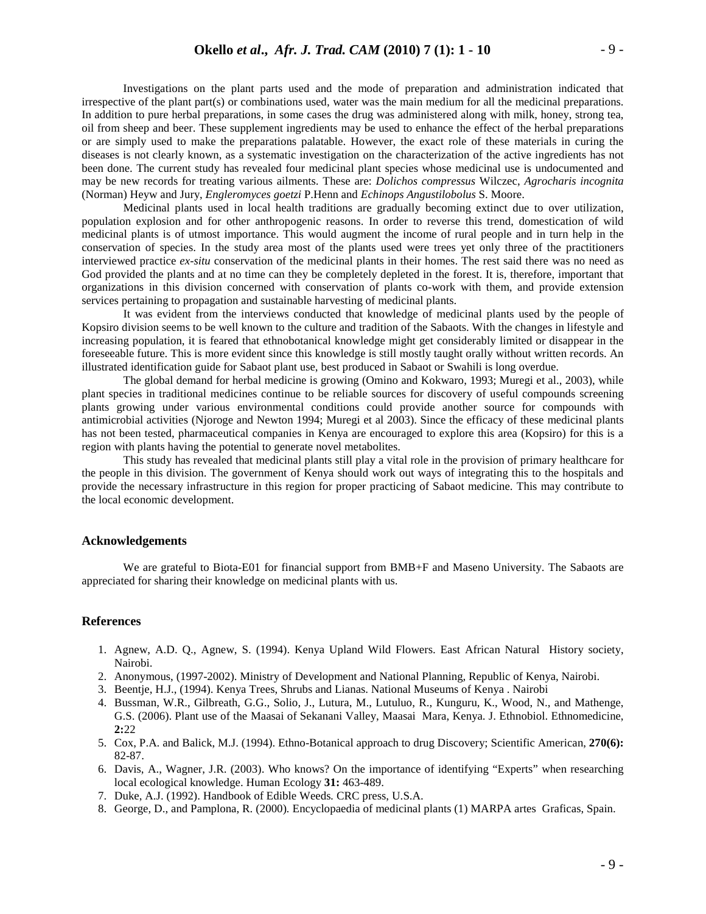Investigations on the plant parts used and the mode of preparation and administration indicated that irrespective of the plant part(s) or combinations used, water was the main medium for all the medicinal preparations. In addition to pure herbal preparations, in some cases the drug was administered along with milk, honey, strong tea, oil from sheep and beer. These supplement ingredients may be used to enhance the effect of the herbal preparations or are simply used to make the preparations palatable. However, the exact role of these materials in curing the diseases is not clearly known, as a systematic investigation on the characterization of the active ingredients has not been done. The current study has revealed four medicinal plant species whose medicinal use is undocumented and may be new records for treating various ailments. These are: *Dolichos compressus* Wilczec, *Agrocharis incognita* (Norman) Heyw and Jury, *Engleromyces goetzi* P.Henn and *Echinops Angustilobolus* S. Moore.

Medicinal plants used in local health traditions are gradually becoming extinct due to over utilization, population explosion and for other anthropogenic reasons. In order to reverse this trend, domestication of wild medicinal plants is of utmost importance. This would augment the income of rural people and in turn help in the conservation of species. In the study area most of the plants used were trees yet only three of the practitioners interviewed practice *ex-situ* conservation of the medicinal plants in their homes. The rest said there was no need as God provided the plants and at no time can they be completely depleted in the forest. It is, therefore, important that organizations in this division concerned with conservation of plants co-work with them, and provide extension services pertaining to propagation and sustainable harvesting of medicinal plants.

It was evident from the interviews conducted that knowledge of medicinal plants used by the people of Kopsiro division seems to be well known to the culture and tradition of the Sabaots. With the changes in lifestyle and increasing population, it is feared that ethnobotanical knowledge might get considerably limited or disappear in the foreseeable future. This is more evident since this knowledge is still mostly taught orally without written records. An illustrated identification guide for Sabaot plant use, best produced in Sabaot or Swahili is long overdue.

The global demand for herbal medicine is growing (Omino and Kokwaro, 1993; Muregi et al., 2003), while plant species in traditional medicines continue to be reliable sources for discovery of useful compounds screening plants growing under various environmental conditions could provide another source for compounds with antimicrobial activities (Njoroge and Newton 1994; Muregi et al 2003). Since the efficacy of these medicinal plants has not been tested, pharmaceutical companies in Kenya are encouraged to explore this area (Kopsiro) for this is a region with plants having the potential to generate novel metabolites.

This study has revealed that medicinal plants still play a vital role in the provision of primary healthcare for the people in this division. The government of Kenya should work out ways of integrating this to the hospitals and provide the necessary infrastructure in this region for proper practicing of Sabaot medicine. This may contribute to the local economic development.

#### **Acknowledgements**

We are grateful to Biota-E01 for financial support from BMB+F and Maseno University. The Sabaots are appreciated for sharing their knowledge on medicinal plants with us.

#### **References**

- 1. Agnew, A.D. Q., Agnew, S. (1994). Kenya Upland Wild Flowers. East African Natural History society, Nairobi.
- 2. Anonymous, (1997-2002). Ministry of Development and National Planning, Republic of Kenya, Nairobi.
- 3. Beentje, H.J., (1994). Kenya Trees, Shrubs and Lianas. National Museums of Kenya . Nairobi
- 4. Bussman, W.R., Gilbreath, G.G., Solio, J., Lutura, M., Lutuluo, R., Kunguru, K., Wood, N., and Mathenge, G.S. (2006). Plant use of the Maasai of Sekanani Valley, Maasai Mara, Kenya. J. Ethnobiol. Ethnomedicine, **2:**22
- 5. Cox, P.A. and Balick, M.J. (1994). Ethno-Botanical approach to drug Discovery; Scientific American, **270(6):** 82-87.
- 6. Davis, A., Wagner, J.R. (2003). Who knows? On the importance of identifying "Experts" when researching local ecological knowledge. Human Ecology **31:** 463-489.
- 7. Duke, A.J. (1992). Handbook of Edible Weeds*.* CRC press, U.S.A.
- 8. George, D., and Pamplona, R. (2000)*.* Encyclopaedia of medicinal plants (1) MARPA artes Graficas, Spain.